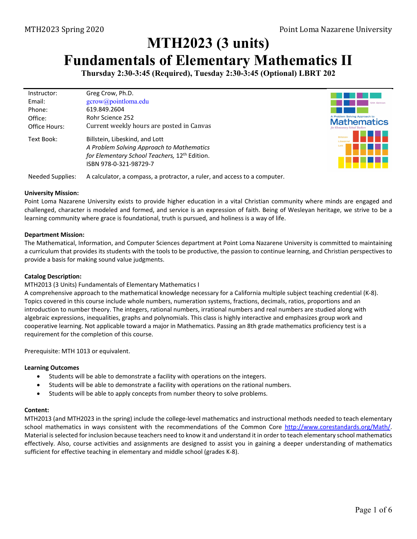# **MTH2023 (3 units) Fundamentals of Elementary Mathematics II**

**Thursday 2:30-3:45 (Required), Tuesday 2:30-3:45 (Optional) LBRT 202** 

| Instructor:   | Greg Crow, Ph.D.                                                                                                                                                   |
|---------------|--------------------------------------------------------------------------------------------------------------------------------------------------------------------|
| Email:        | gcrow@pointloma.edu                                                                                                                                                |
| Phone:        | 619.849.2604                                                                                                                                                       |
| Office:       | Rohr Science 252                                                                                                                                                   |
| Office Hours: | Current weekly hours are posted in Canvas                                                                                                                          |
| Text Book:    | Billstein, Libeskind, and Lott<br>A Problem Solving Approach to Mathematics<br>for Elementary School Teachers, 12 <sup>th</sup> Edition.<br>ISBN 978-0-321-98729-7 |



Needed Supplies: A calculator, a compass, a protractor, a ruler, and access to a computer.

#### **University Mission:**

Point Loma Nazarene University exists to provide higher education in a vital Christian community where minds are engaged and challenged, character is modeled and formed, and service is an expression of faith. Being of Wesleyan heritage, we strive to be a learning community where grace is foundational, truth is pursued, and holiness is a way of life.

### **Department Mission:**

The Mathematical, Information, and Computer Sciences department at Point Loma Nazarene University is committed to maintaining a curriculum that provides its students with the tools to be productive, the passion to continue learning, and Christian perspectives to provide a basis for making sound value judgments.

### **Catalog Description:**

MTH2013 (3 Units) Fundamentals of Elementary Mathematics I

A comprehensive approach to the mathematical knowledge necessary for a California multiple subject teaching credential (K‐8). Topics covered in this course include whole numbers, numeration systems, fractions, decimals, ratios, proportions and an introduction to number theory. The integers, rational numbers, irrational numbers and real numbers are studied along with algebraic expressions, inequalities, graphs and polynomials. This class is highly interactive and emphasizes group work and cooperative learning. Not applicable toward a major in Mathematics. Passing an 8th grade mathematics proficiency test is a requirement for the completion of this course.

Prerequisite: MTH 1013 or equivalent.

#### **Learning Outcomes**

- Students will be able to demonstrate a facility with operations on the integers.
- Students will be able to demonstrate a facility with operations on the rational numbers.
- Students will be able to apply concepts from number theory to solve problems.

### **Content:**

MTH2013 (and MTH2023 in the spring) include the college‐level mathematics and instructional methods needed to teach elementary school mathematics in ways consistent with the recommendations of the Common Core http://www.corestandards.org/Math/. Material isselected for inclusion because teachers need to know it and understand it in order to teach elementary school mathematics effectively. Also, course activities and assignments are designed to assist you in gaining a deeper understanding of mathematics sufficient for effective teaching in elementary and middle school (grades K‐8).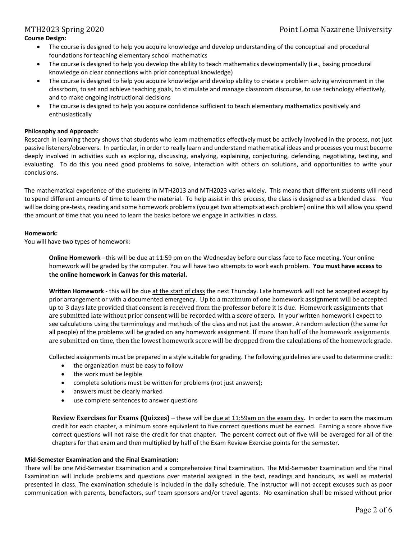## **Course Design:**

- The course is designed to help you acquire knowledge and develop understanding of the conceptual and procedural foundations for teaching elementary school mathematics
- The course is designed to help you develop the ability to teach mathematics developmentally (i.e., basing procedural knowledge on clear connections with prior conceptual knowledge)
- The course is designed to help you acquire knowledge and develop ability to create a problem solving environment in the classroom, to set and achieve teaching goals, to stimulate and manage classroom discourse, to use technology effectively, and to make ongoing instructional decisions
- The course is designed to help you acquire confidence sufficient to teach elementary mathematics positively and enthusiastically

#### **Philosophy and Approach:**

Research in learning theory shows that students who learn mathematics effectively must be actively involved in the process, not just passive listeners/observers. In particular, in order to really learn and understand mathematical ideas and processes you must become deeply involved in activities such as exploring, discussing, analyzing, explaining, conjecturing, defending, negotiating, testing, and evaluating. To do this you need good problems to solve, interaction with others on solutions, and opportunities to write your conclusions.

The mathematical experience of the students in MTH2013 and MTH2023 varies widely. This means that different students will need to spend different amounts of time to learn the material. To help assist in this process, the class is designed as a blended class. You will be doing pre-tests, reading and some homework problems (you get two attempts at each problem) online this will allow you spend the amount of time that you need to learn the basics before we engage in activities in class.

#### **Homework:**

You will have two types of homework:

**Online Homework** ‐ this will be due at 11:59 pm on the Wednesday before our class face to face meeting. Your online homework will be graded by the computer. You will have two attempts to work each problem. **You must have access to the online homework in Canvas for this material.**

**Written Homework** ‐ this will be due at the start of class the next Thursday. Late homework will not be accepted except by prior arrangement or with a documented emergency. Up to a maximum of one homework assignment will be accepted up to 3 days late provided that consent is received from the professor before it is due. Homework assignments that are submitted late without prior consent will be recorded with a score of zero. In your written homework I expect to see calculations using the terminology and methods of the class and not just the answer. A random selection (the same for all people) of the problems will be graded on any homework assignment. If more than half of the homework assignments are submitted on time, then the lowest homework score will be dropped from the calculations of the homework grade.

Collected assignments must be prepared in a style suitable for grading. The following guidelines are used to determine credit:

- the organization must be easy to follow
- the work must be legible
- complete solutions must be written for problems (not just answers);
- answers must be clearly marked
- use complete sentences to answer questions

**Review Exercises for Exams (Quizzes)** – these will be due at 11:59am on the exam day. In order to earn the maximum credit for each chapter, a minimum score equivalent to five correct questions must be earned. Earning a score above five correct questions will not raise the credit for that chapter. The percent correct out of five will be averaged for all of the chapters for that exam and then multiplied by half of the Exam Review Exercise points for the semester.

#### **Mid‐Semester Examination and the Final Examination:**

There will be one Mid‐Semester Examination and a comprehensive Final Examination. The Mid‐Semester Examination and the Final Examination will include problems and questions over material assigned in the text, readings and handouts, as well as material presented in class. The examination schedule is included in the daily schedule. The instructor will not accept excuses such as poor communication with parents, benefactors, surf team sponsors and/or travel agents. No examination shall be missed without prior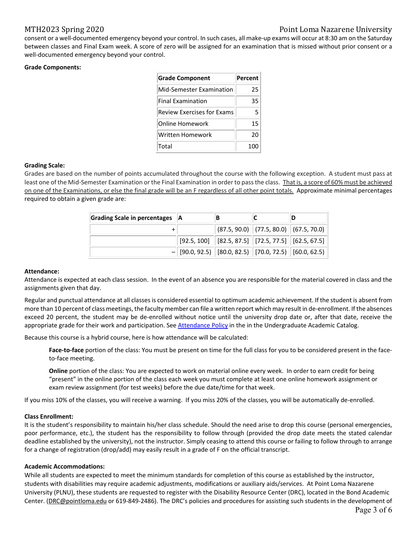# MTH2023 Spring 2020 **Point Loma Nazarene University**

consent or a well-documented emergency beyond your control. In such cases, all make-up exams will occur at 8:30 am on the Saturday between classes and Final Exam week. A score of zero will be assigned for an examination that is missed without prior consent or a well-documented emergency beyond your control.

#### **Grade Components:**

| <b>Grade Component</b>            | Percent |
|-----------------------------------|---------|
| Mid-Semester Examination          | 25      |
| <b>Final Examination</b>          | 35      |
| <b>Review Exercises for Exams</b> | 5       |
| Online Homework                   | 15      |
| Written Homework                  | 20      |
| Total                             | 100     |

#### **Grading Scale:**

Grades are based on the number of points accumulated throughout the course with the following exception. A student must pass at least one of the Mid-Semester Examination or the Final Examination in order to pass the class. That is, a score of 60% must be achieved on one of the Examinations, or else the final grade will be an F regardless of all other point totals. Approximate minimal percentages required to obtain a given grade are:

| Grading Scale in percentages   A |                                                                                             | В |                                                                                |  |
|----------------------------------|---------------------------------------------------------------------------------------------|---|--------------------------------------------------------------------------------|--|
|                                  |                                                                                             |   | $\ $ (87.5, 90.0) $\ $ (77.5, 80.0) $\ $ (67.5, 70.0)                          |  |
|                                  |                                                                                             |   | $\mid$ [92.5, 100] $\mid$ [82.5, 87.5] $\mid$ [72.5, 77.5] $\mid$ [62.5, 67.5] |  |
|                                  | $-$ [90.0, 92.5) $\parallel$ [80.0, 82.5) $\parallel$ [70.0, 72.5) $\parallel$ [60.0, 62.5) |   |                                                                                |  |

#### **Attendance:**

Attendance is expected at each class session. In the event of an absence you are responsible for the material covered in class and the assignments given that day.

Regular and punctual attendance at all classes is considered essential to optimum academic achievement. If the student is absent from more than 10 percent of class meetings, the faculty member can file a written report which may result in de-enrollment. If the absences exceed 20 percent, the student may be de‐enrolled without notice until the university drop date or, after that date, receive the appropriate grade for their work and participation. See Attendance Policy in the in the Undergraduate Academic Catalog.

Because this course is a hybrid course, here is how attendance will be calculated:

**Face‐to‐face** portion of the class: You must be present on time for the full class for you to be considered present in the face‐ to‐face meeting.

**Online** portion of the class: You are expected to work on material online every week. In order to earn credit for being "present" in the online portion of the class each week you must complete at least one online homework assignment or exam review assignment (for test weeks) before the due date/time for that week.

If you miss 10% of the classes, you will receive a warning. If you miss 20% of the classes, you will be automatically de‐enrolled.

#### **Class Enrollment:**

It is the student's responsibility to maintain his/her class schedule. Should the need arise to drop this course (personal emergencies, poor performance, etc.), the student has the responsibility to follow through (provided the drop date meets the stated calendar deadline established by the university), not the instructor. Simply ceasing to attend this course or failing to follow through to arrange for a change of registration (drop/add) may easily result in a grade of F on the official transcript.

#### **Academic Accommodations:**

While all students are expected to meet the minimum standards for completion of this course as established by the instructor, students with disabilities may require academic adjustments, modifications or auxiliary aids/services. At Point Loma Nazarene University (PLNU), these students are requested to register with the Disability Resource Center (DRC), located in the Bond Academic Center. (DRC@pointloma.edu or 619-849-2486). The DRC's policies and procedures for assisting such students in the development of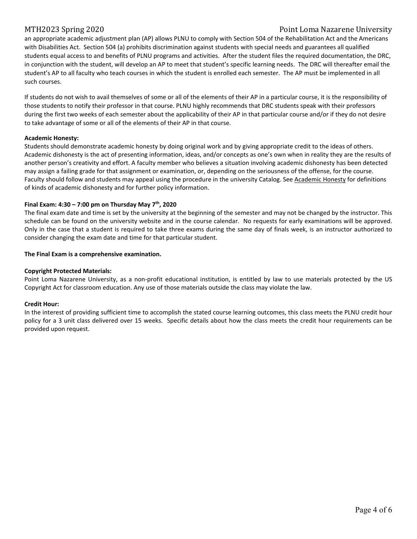## MTH2023 Spring 2020 **Point Loma Nazarene University**

an appropriate academic adjustment plan (AP) allows PLNU to comply with Section 504 of the Rehabilitation Act and the Americans with Disabilities Act. Section 504 (a) prohibits discrimination against students with special needs and guarantees all qualified students equal access to and benefits of PLNU programs and activities. After the student files the required documentation, the DRC, in conjunction with the student, will develop an AP to meet that student's specific learning needs. The DRC will thereafter email the student's AP to all faculty who teach courses in which the student is enrolled each semester. The AP must be implemented in all such courses.

If students do not wish to avail themselves of some or all of the elements of their AP in a particular course, it is the responsibility of those students to notify their professor in that course. PLNU highly recommends that DRC students speak with their professors during the first two weeks of each semester about the applicability of their AP in that particular course and/or if they do not desire to take advantage of some or all of the elements of their AP in that course.

#### **Academic Honesty:**

Students should demonstrate academic honesty by doing original work and by giving appropriate credit to the ideas of others. Academic dishonesty is the act of presenting information, ideas, and/or concepts as one's own when in reality they are the results of another person's creativity and effort. A faculty member who believes a situation involving academic dishonesty has been detected may assign a failing grade for that assignment or examination, or, depending on the seriousness of the offense, for the course. Faculty should follow and students may appeal using the procedure in the university Catalog. See Academic Honesty for definitions of kinds of academic dishonesty and for further policy information.

#### **Final Exam: 4:30 – 7:00 pm on Thursday May 7th, 2020**

The final exam date and time is set by the university at the beginning of the semester and may not be changed by the instructor. This schedule can be found on the university website and in the course calendar. No requests for early examinations will be approved. Only in the case that a student is required to take three exams during the same day of finals week, is an instructor authorized to consider changing the exam date and time for that particular student.

#### **The Final Exam is a comprehensive examination.**

#### **Copyright Protected Materials:**

Point Loma Nazarene University, as a non-profit educational institution, is entitled by law to use materials protected by the US Copyright Act for classroom education. Any use of those materials outside the class may violate the law.

#### **Credit Hour:**

In the interest of providing sufficient time to accomplish the stated course learning outcomes, this class meets the PLNU credit hour policy for a 3 unit class delivered over 15 weeks. Specific details about how the class meets the credit hour requirements can be provided upon request.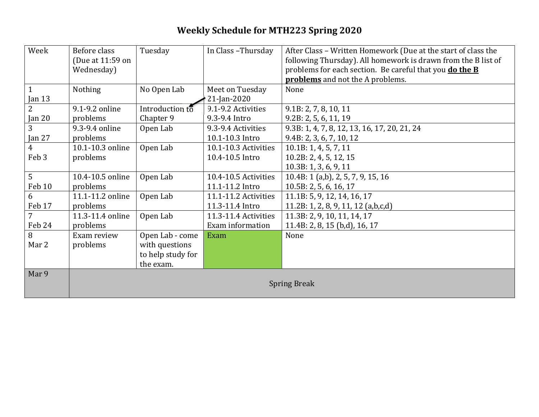# **Weekly Schedule for MTH223 Spring 2020**

| Week           | Before class        | Tuesday           | In Class-Thursday    | After Class - Written Homework (Due at the start of class the  |
|----------------|---------------------|-------------------|----------------------|----------------------------------------------------------------|
|                | (Due at 11:59 on    |                   |                      | following Thursday). All homework is drawn from the B list of  |
|                | Wednesday)          |                   |                      | problems for each section. Be careful that you <b>do the B</b> |
|                |                     |                   |                      | <b>problems</b> and not the A problems.                        |
| $\mathbf{1}$   | Nothing             | No Open Lab       | Meet on Tuesday      | None                                                           |
| Jan $13$       |                     |                   | 21-Jan-2020          |                                                                |
| $\overline{2}$ | 9.1-9.2 online      | Introduction to   | 9.1-9.2 Activities   | 9.1B: 2, 7, 8, 10, 11                                          |
| Jan $20$       | problems            | Chapter 9         | 9.3-9.4 Intro        | 9.2B: 2, 5, 6, 11, 19                                          |
| 3              | 9.3-9.4 online      | Open Lab          | 9.3-9.4 Activities   | 9.3B: 1, 4, 7, 8, 12, 13, 16, 17, 20, 21, 24                   |
| Jan 27         | problems            |                   | 10.1-10.3 Intro      | 9.4B: 2, 3, 6, 7, 10, 12                                       |
| $\overline{4}$ | 10.1-10.3 online    | Open Lab          | 10.1-10.3 Activities | 10.1B: 1, 4, 5, 7, 11                                          |
| Feb 3          | problems            |                   | 10.4-10.5 Intro      | 10.2B: 2, 4, 5, 12, 15                                         |
|                |                     |                   |                      | 10.3B: 1, 3, 6, 9, 11                                          |
| 5              | 10.4-10.5 online    | Open Lab          | 10.4-10.5 Activities | 10.4B: 1 (a,b), 2, 5, 7, 9, 15, 16                             |
| Feb 10         | problems            |                   | 11.1-11.2 Intro      | 10.5B: 2, 5, 6, 16, 17                                         |
| 6              | 11.1-11.2 online    | Open Lab          | 11.1-11.2 Activities | 11.1B: 5, 9, 12, 14, 16, 17                                    |
| Feb 17         | problems            |                   | 11.3-11.4 Intro      | 11.2B: 1, 2, 8, 9, 11, 12 (a,b,c,d)                            |
| $\overline{7}$ | 11.3-11.4 online    | Open Lab          | 11.3-11.4 Activities | 11.3B: 2, 9, 10, 11, 14, 17                                    |
| Feb 24         | problems            |                   | Exam information     | 11.4B: 2, 8, 15 (b,d), 16, 17                                  |
| 8              | Exam review         | Open Lab - come   | Exam                 | None                                                           |
| Mar 2          | problems            | with questions    |                      |                                                                |
|                |                     | to help study for |                      |                                                                |
|                |                     | the exam.         |                      |                                                                |
| Mar 9          |                     |                   |                      |                                                                |
|                | <b>Spring Break</b> |                   |                      |                                                                |
|                |                     |                   |                      |                                                                |